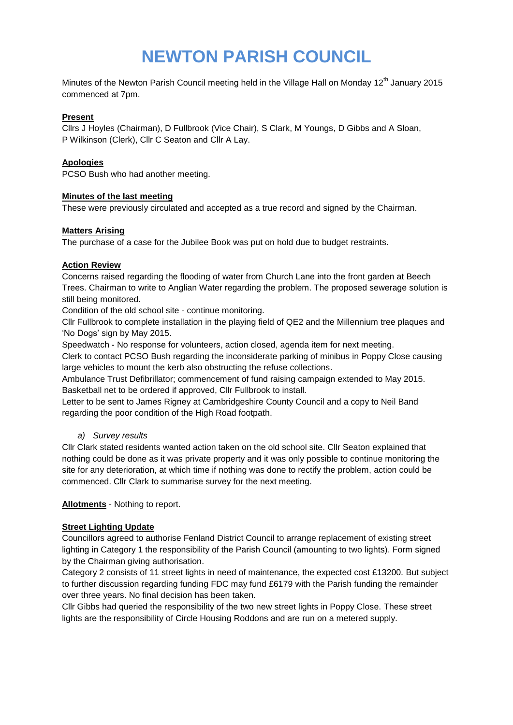# **NEWTON PARISH COUNCIL**

Minutes of the Newton Parish Council meeting held in the Village Hall on Monday 12<sup>th</sup> January 2015 commenced at 7pm.

## **Present**

Cllrs J Hoyles (Chairman), D Fullbrook (Vice Chair), S Clark, M Youngs, D Gibbs and A Sloan, P Wilkinson (Clerk), Cllr C Seaton and Cllr A Lay.

## **Apologies**

PCSO Bush who had another meeting.

#### **Minutes of the last meeting**

These were previously circulated and accepted as a true record and signed by the Chairman.

#### **Matters Arising**

The purchase of a case for the Jubilee Book was put on hold due to budget restraints.

## **Action Review**

Concerns raised regarding the flooding of water from Church Lane into the front garden at Beech Trees. Chairman to write to Anglian Water regarding the problem. The proposed sewerage solution is still being monitored.

Condition of the old school site - continue monitoring.

Cllr Fullbrook to complete installation in the playing field of QE2 and the Millennium tree plaques and 'No Dogs' sign by May 2015.

Speedwatch - No response for volunteers, action closed, agenda item for next meeting.

Clerk to contact PCSO Bush regarding the inconsiderate parking of minibus in Poppy Close causing large vehicles to mount the kerb also obstructing the refuse collections.

Ambulance Trust Defibrillator; commencement of fund raising campaign extended to May 2015. Basketball net to be ordered if approved, Cllr Fullbrook to install.

Letter to be sent to James Rigney at Cambridgeshire County Council and a copy to Neil Band regarding the poor condition of the High Road footpath.

## *a) Survey results*

Cllr Clark stated residents wanted action taken on the old school site. Cllr Seaton explained that nothing could be done as it was private property and it was only possible to continue monitoring the site for any deterioration, at which time if nothing was done to rectify the problem, action could be commenced. Cllr Clark to summarise survey for the next meeting.

**Allotments** - Nothing to report.

# **Street Lighting Update**

Councillors agreed to authorise Fenland District Council to arrange replacement of existing street lighting in Category 1 the responsibility of the Parish Council (amounting to two lights). Form signed by the Chairman giving authorisation.

Category 2 consists of 11 street lights in need of maintenance, the expected cost £13200. But subject to further discussion regarding funding FDC may fund £6179 with the Parish funding the remainder over three years. No final decision has been taken.

Cllr Gibbs had queried the responsibility of the two new street lights in Poppy Close. These street lights are the responsibility of Circle Housing Roddons and are run on a metered supply.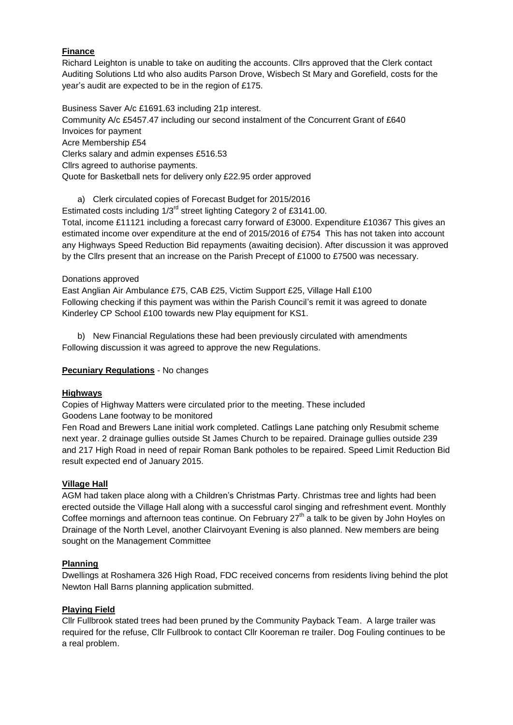# **Finance**

Richard Leighton is unable to take on auditing the accounts. Cllrs approved that the Clerk contact Auditing Solutions Ltd who also audits Parson Drove, Wisbech St Mary and Gorefield, costs for the year's audit are expected to be in the region of £175.

Business Saver A/c £1691.63 including 21p interest. Community A/c £5457.47 including our second instalment of the Concurrent Grant of £640 Invoices for payment Acre Membership £54 Clerks salary and admin expenses £516.53 Cllrs agreed to authorise payments. Quote for Basketball nets for delivery only £22.95 order approved

a) Clerk circulated copies of Forecast Budget for 2015/2016 Estimated costs including 1/3<sup>rd</sup> street lighting Category 2 of £3141.00. Total, income £11121 including a forecast carry forward of £3000. Expenditure £10367 This gives an estimated income over expenditure at the end of 2015/2016 of £754 This has not taken into account any Highways Speed Reduction Bid repayments (awaiting decision). After discussion it was approved by the Cllrs present that an increase on the Parish Precept of £1000 to £7500 was necessary.

## Donations approved

East Anglian Air Ambulance £75, CAB £25, Victim Support £25, Village Hall £100 Following checking if this payment was within the Parish Council's remit it was agreed to donate Kinderley CP School £100 towards new Play equipment for KS1.

b) New Financial Regulations these had been previously circulated with amendments Following discussion it was agreed to approve the new Regulations.

## **Pecuniary Regulations** - No changes

## **Highways**

Copies of Highway Matters were circulated prior to the meeting. These included Goodens Lane footway to be monitored

Fen Road and Brewers Lane initial work completed. Catlings Lane patching only Resubmit scheme next year. 2 drainage gullies outside St James Church to be repaired. Drainage gullies outside 239 and 217 High Road in need of repair Roman Bank potholes to be repaired. Speed Limit Reduction Bid result expected end of January 2015.

## **Village Hall**

AGM had taken place along with a Children's Christmas Party. Christmas tree and lights had been erected outside the Village Hall along with a successful carol singing and refreshment event. Monthly Coffee mornings and afternoon teas continue. On February  $27<sup>th</sup>$  a talk to be given by John Hoyles on Drainage of the North Level, another Clairvoyant Evening is also planned. New members are being sought on the Management Committee

#### **Planning**

Dwellings at Roshamera 326 High Road, FDC received concerns from residents living behind the plot Newton Hall Barns planning application submitted.

#### **Playing Field**

Cllr Fullbrook stated trees had been pruned by the Community Payback Team. A large trailer was required for the refuse, Cllr Fullbrook to contact Cllr Kooreman re trailer. Dog Fouling continues to be a real problem.